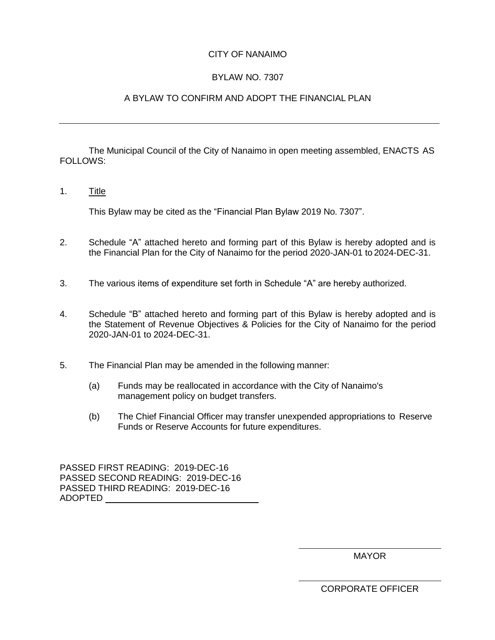## CITY OF NANAIMO

# BYLAW NO. 7307

# A BYLAW TO CONFIRM AND ADOPT THE FINANCIAL PLAN

The Municipal Council of the City of Nanaimo in open meeting assembled, ENACTS AS FOLLOWS:

1. Title

This Bylaw may be cited as the "Financial Plan Bylaw 2019 No. 7307".

- 2. Schedule "A" attached hereto and forming part of this Bylaw is hereby adopted and is the Financial Plan for the City of Nanaimo for the period 2020-JAN-01 to 2024-DEC-31.
- 3. The various items of expenditure set forth in Schedule "A" are hereby authorized.
- 4. Schedule "B" attached hereto and forming part of this Bylaw is hereby adopted and is the Statement of Revenue Objectives & Policies for the City of Nanaimo for the period 2020-JAN-01 to 2024-DEC-31.
- 5. The Financial Plan may be amended in the following manner:
	- (a) Funds may be reallocated in accordance with the City of Nanaimo's management policy on budget transfers.
	- (b) The Chief Financial Officer may transfer unexpended appropriations to Reserve Funds or Reserve Accounts for future expenditures.

PASSED FIRST READING: 2019-DEC-16 PASSED SECOND READING: 2019-DEC-16 PASSED THIRD READING: 2019-DEC-16 ADOPTED

MAYOR

CORPORATE OFFICER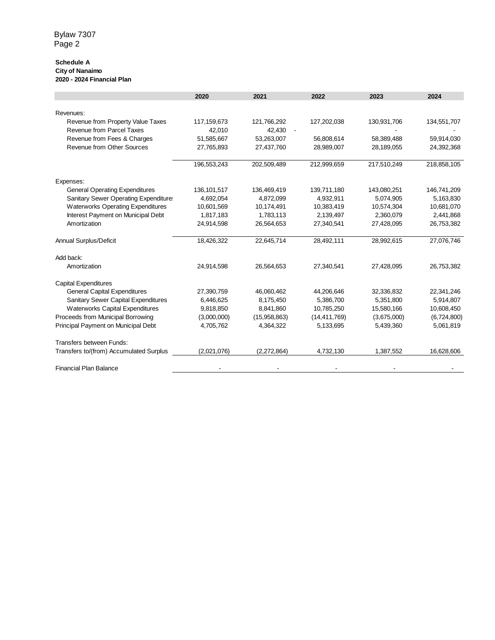#### **Schedule A City of Nanaimo 2020 - 2024 Financial Plan**

|                                              | 2020          | 2021         | 2022           | 2023        | 2024        |
|----------------------------------------------|---------------|--------------|----------------|-------------|-------------|
|                                              |               |              |                |             |             |
| Revenues:                                    |               |              |                |             |             |
| Revenue from Property Value Taxes            | 117,159,673   | 121,766,292  | 127,202,038    | 130,931,706 | 134,551,707 |
| <b>Revenue from Parcel Taxes</b>             | 42,010        | 42,430       |                |             |             |
| Revenue from Fees & Charges                  | 51,585,667    | 53,263,007   | 56,808,614     | 58,389,488  | 59,914,030  |
| <b>Revenue from Other Sources</b>            | 27,765,893    | 27,437,760   | 28,989,007     | 28,189,055  | 24,392,368  |
|                                              | 196,553,243   | 202,509,489  | 212,999,659    | 217,510,249 | 218,858,105 |
| Expenses:                                    |               |              |                |             |             |
| <b>General Operating Expenditures</b>        | 136, 101, 517 | 136,469,419  | 139,711,180    | 143,080,251 | 146,741,209 |
| <b>Sanitary Sewer Operating Expenditure:</b> | 4,692,054     | 4,872,099    | 4,932,911      | 5,074,905   | 5,163,830   |
| <b>Waterworks Operating Expenditures</b>     | 10,601,569    | 10,174,491   | 10,383,419     | 10,574,304  | 10,681,070  |
| Interest Payment on Municipal Debt           | 1,817,183     | 1,783,113    | 2,139,497      | 2,360,079   | 2,441,868   |
| Amortization                                 | 24,914,598    | 26,564,653   | 27,340,541     | 27,428,095  | 26,753,382  |
| Annual Surplus/Deficit                       | 18,426,322    | 22,645,714   | 28,492,111     | 28,992,615  | 27,076,746  |
| Add back:                                    |               |              |                |             |             |
| Amortization                                 | 24,914,598    | 26,564,653   | 27,340,541     | 27,428,095  | 26,753,382  |
| <b>Capital Expenditures</b>                  |               |              |                |             |             |
| <b>General Capital Expenditures</b>          | 27,390,759    | 46,060,462   | 44,206,646     | 32,336,832  | 22,341,246  |
| <b>Sanitary Sewer Capital Expenditures</b>   | 6,446,625     | 8,175,450    | 5,386,700      | 5,351,800   | 5,914,807   |
| Waterworks Capital Expenditures              | 9,818,850     | 8,841,860    | 10,785,250     | 15,580,166  | 10,608,450  |
| Proceeds from Municipal Borrowing            | (3,000,000)   | (15,958,863) | (14, 411, 769) | (3,675,000) | (6,724,800) |
| Principal Payment on Municipal Debt          | 4,705,762     | 4,364,322    | 5,133,695      | 5,439,360   | 5,061,819   |
| Transfers between Funds:                     |               |              |                |             |             |
| Transfers to/(from) Accumulated Surplus      | (2,021,076)   | (2,272,864)  | 4,732,130      | 1,387,552   | 16,628,606  |
| <b>Financial Plan Balance</b>                |               |              |                |             |             |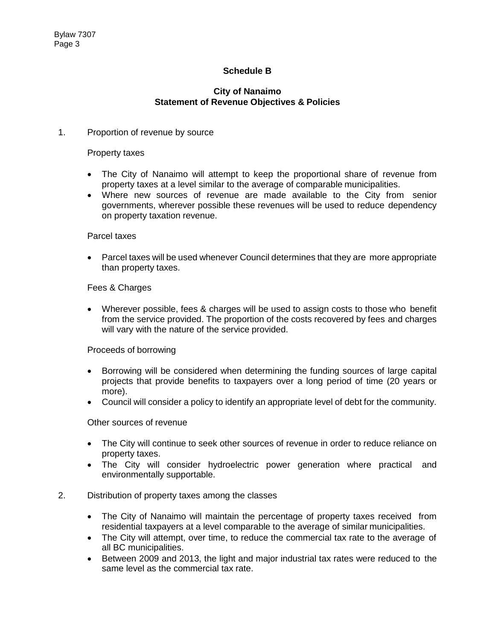# **Schedule B**

## **City of Nanaimo Statement of Revenue Objectives & Policies**

### 1. Proportion of revenue by source

#### Property taxes

- The City of Nanaimo will attempt to keep the proportional share of revenue from property taxes at a level similar to the average of comparable municipalities.
- Where new sources of revenue are made available to the City from senior governments, wherever possible these revenues will be used to reduce dependency on property taxation revenue.

#### Parcel taxes

• Parcel taxes will be used whenever Council determines that they are more appropriate than property taxes.

### Fees & Charges

 Wherever possible, fees & charges will be used to assign costs to those who benefit from the service provided. The proportion of the costs recovered by fees and charges will vary with the nature of the service provided.

### Proceeds of borrowing

- Borrowing will be considered when determining the funding sources of large capital projects that provide benefits to taxpayers over a long period of time (20 years or more).
- Council will consider a policy to identify an appropriate level of debt for the community.

Other sources of revenue

- The City will continue to seek other sources of revenue in order to reduce reliance on property taxes.
- The City will consider hydroelectric power generation where practical and environmentally supportable.
- 2. Distribution of property taxes among the classes
	- The City of Nanaimo will maintain the percentage of property taxes received from residential taxpayers at a level comparable to the average of similar municipalities.
	- The City will attempt, over time, to reduce the commercial tax rate to the average of all BC municipalities.
	- Between 2009 and 2013, the light and major industrial tax rates were reduced to the same level as the commercial tax rate.